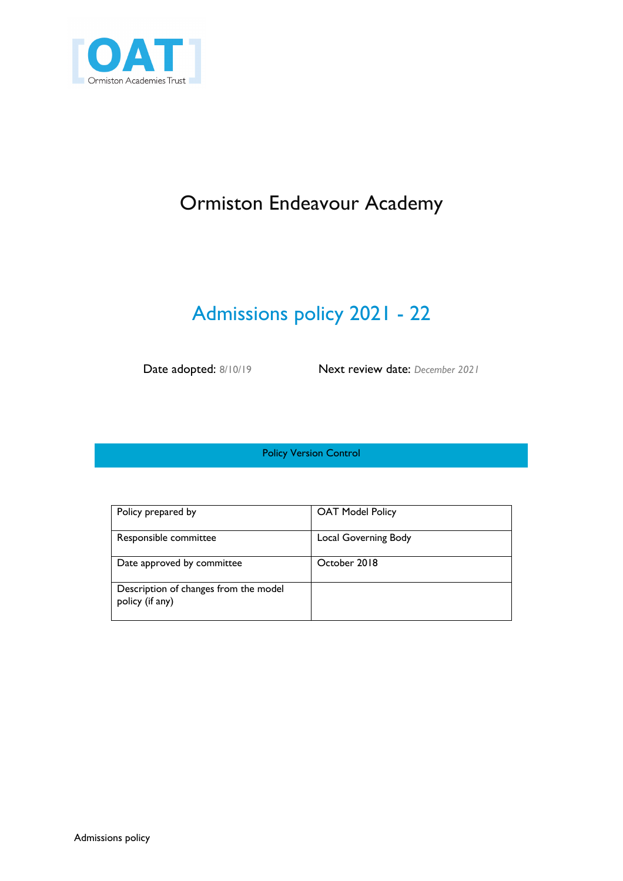

# Ormiston Endeavour Academy

# Admissions policy 2021 - 22

Date adopted: 8/10/19 Next review date: *December 2021*

Policy Version Control

| Policy prepared by                                       | <b>OAT Model Policy</b> |
|----------------------------------------------------------|-------------------------|
| Responsible committee                                    | Local Governing Body    |
| Date approved by committee                               | October 2018            |
| Description of changes from the model<br>policy (if any) |                         |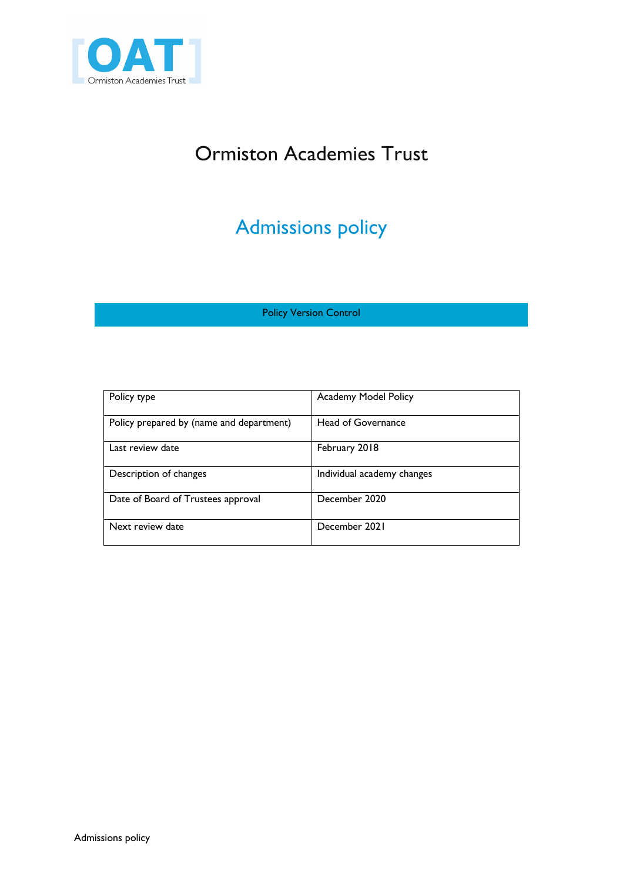

# Ormiston Academies Trust

# Admissions policy

Policy Version Control

| Policy type                              | Academy Model Policy       |
|------------------------------------------|----------------------------|
| Policy prepared by (name and department) | Head of Governance         |
| Last review date                         | February 2018              |
| Description of changes                   | Individual academy changes |
| Date of Board of Trustees approval       | December 2020              |
| Next review date                         | December 2021              |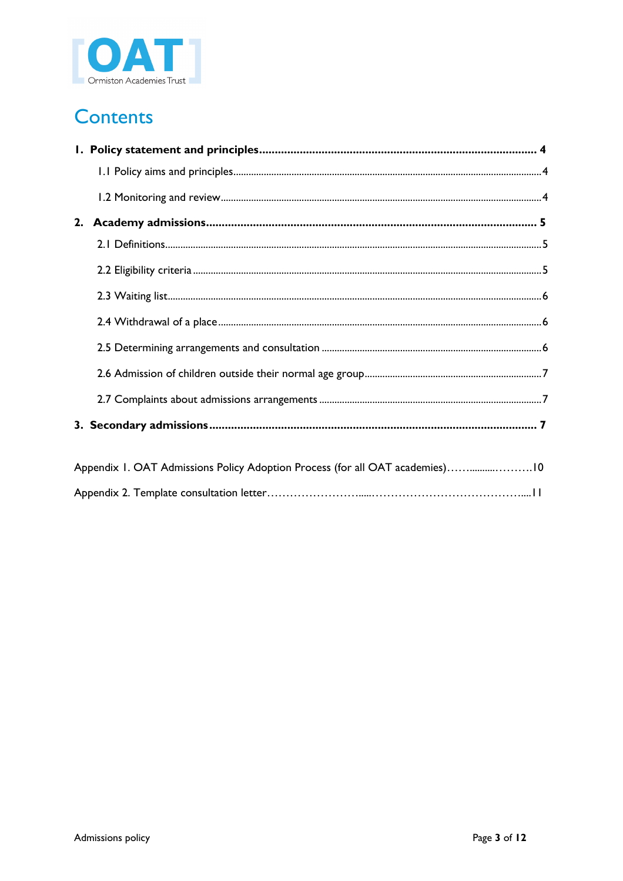

# **Contents**

| Appendix 1. OAT Admissions Policy Adoption Process (for all OAT academies)10 |  |
|------------------------------------------------------------------------------|--|
|                                                                              |  |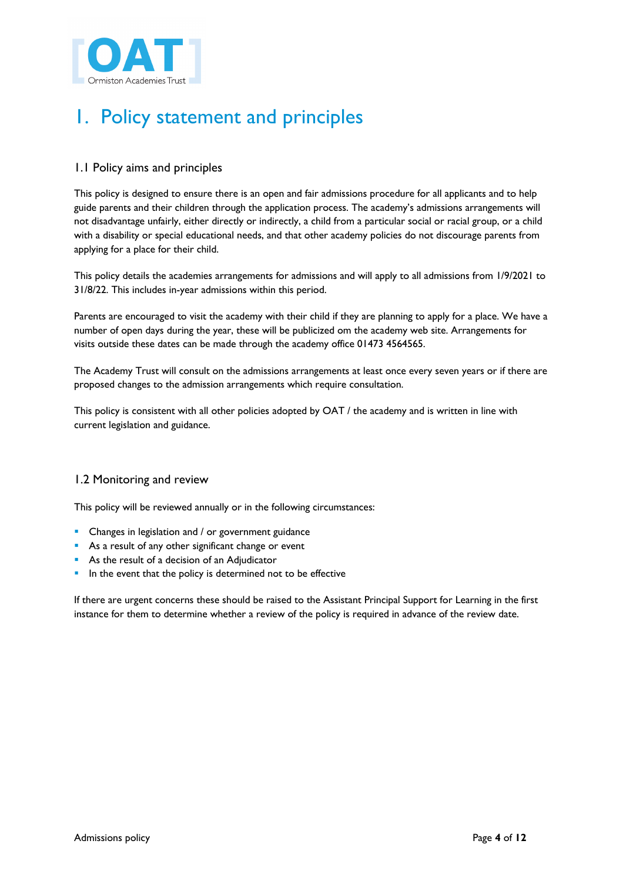

# 1. Policy statement and principles

# 1.1 Policy aims and principles

This policy is designed to ensure there is an open and fair admissions procedure for all applicants and to help guide parents and their children through the application process. The academy's admissions arrangements will not disadvantage unfairly, either directly or indirectly, a child from a particular social or racial group, or a child with a disability or special educational needs, and that other academy policies do not discourage parents from applying for a place for their child.

This policy details the academies arrangements for admissions and will apply to all admissions from 1/9/2021 to 31/8/22. This includes in-year admissions within this period.

Parents are encouraged to visit the academy with their child if they are planning to apply for a place. We have a number of open days during the year, these will be publicized om the academy web site. Arrangements for visits outside these dates can be made through the academy office 01473 4564565.

The Academy Trust will consult on the admissions arrangements at least once every seven years or if there are proposed changes to the admission arrangements which require consultation.

This policy is consistent with all other policies adopted by OAT / the academy and is written in line with current legislation and guidance.

## 1.2 Monitoring and review

This policy will be reviewed annually or in the following circumstances:

- Changes in legislation and / or government guidance
- As a result of any other significant change or event
- As the result of a decision of an Adjudicator
- **•** In the event that the policy is determined not to be effective

If there are urgent concerns these should be raised to the Assistant Principal Support for Learning in the first instance for them to determine whether a review of the policy is required in advance of the review date.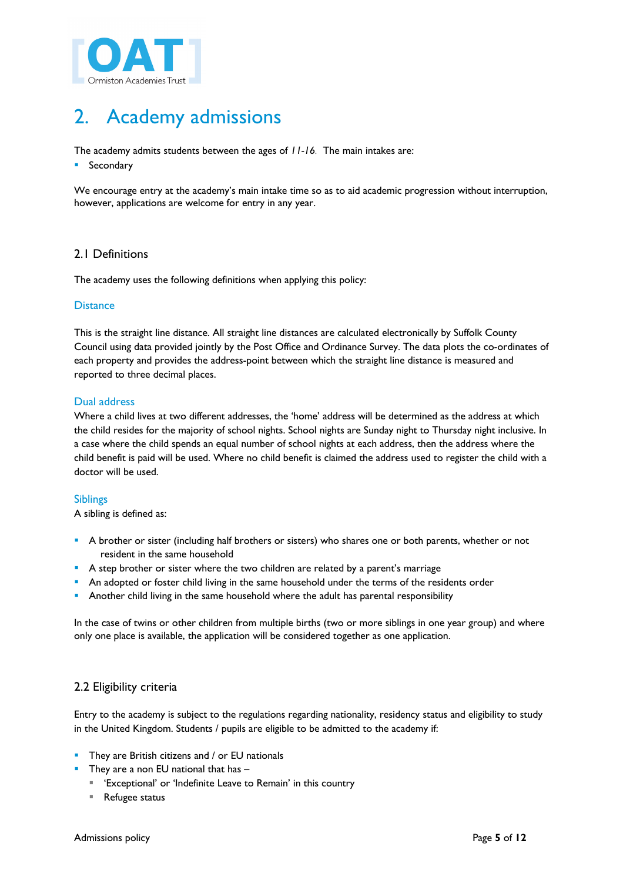

# 2. Academy admissions

The academy admits students between the ages of *11-16.* The main intakes are:

■ Secondary

We encourage entry at the academy's main intake time so as to aid academic progression without interruption, however, applications are welcome for entry in any year.

## 2.1 Definitions

The academy uses the following definitions when applying this policy:

## **Distance**

This is the straight line distance. All straight line distances are calculated electronically by Suffolk County Council using data provided jointly by the Post Office and Ordinance Survey. The data plots the co-ordinates of each property and provides the address-point between which the straight line distance is measured and reported to three decimal places.

## Dual address

Where a child lives at two different addresses, the 'home' address will be determined as the address at which the child resides for the majority of school nights. School nights are Sunday night to Thursday night inclusive. In a case where the child spends an equal number of school nights at each address, then the address where the child benefit is paid will be used. Where no child benefit is claimed the address used to register the child with a doctor will be used.

## Siblings

A sibling is defined as:

- A brother or sister (including half brothers or sisters) who shares one or both parents, whether or not resident in the same household
- **•** A step brother or sister where the two children are related by a parent's marriage
- **•** An adopted or foster child living in the same household under the terms of the residents order
- § Another child living in the same household where the adult has parental responsibility

In the case of twins or other children from multiple births (two or more siblings in one year group) and where only one place is available, the application will be considered together as one application.

## 2.2 Eligibility criteria

Entry to the academy is subject to the regulations regarding nationality, residency status and eligibility to study in the United Kingdom. Students / pupils are eligible to be admitted to the academy if:

- **•** They are British citizens and / or EU nationals
	- They are a non EU national that has  $-$ 
		- 'Exceptional' or 'Indefinite Leave to Remain' in this country
	- Refugee status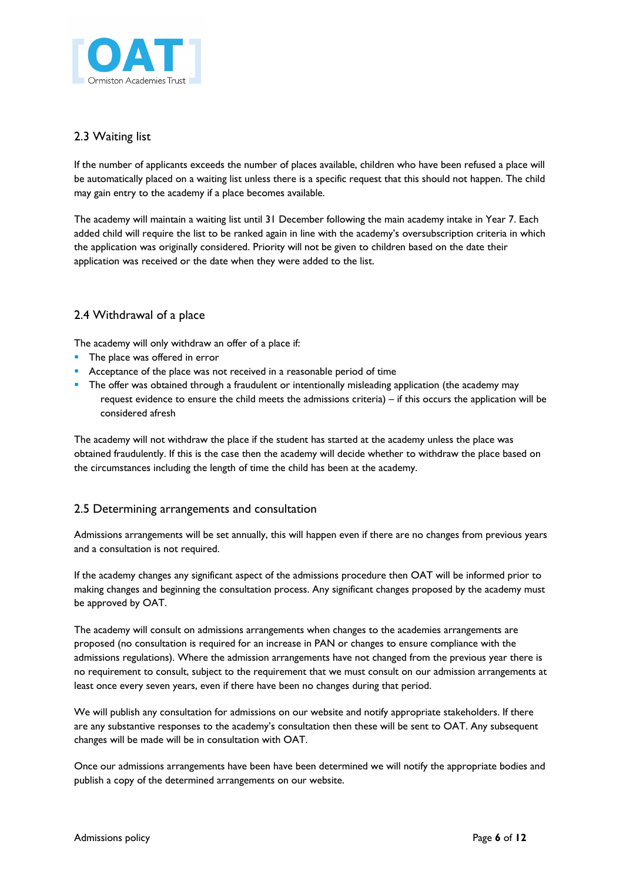

## 2.3 Waiting list

If the number of applicants exceeds the number of places available, children who have been refused a place will be automatically placed on a waiting list unless there is a specific request that this should not happen. The child may gain entry to the academy if a place becomes available.

The academy will maintain a waiting list until 31 December following the main academy intake in Year 7. Each added child will require the list to be ranked again in line with the academy's oversubscription criteria in which the application was originally considered. Priority will not be given to children based on the date their application was received or the date when they were added to the list.

# 2.4 Withdrawal of a place

The academy will only withdraw an offer of a place if:

- **•** The place was offered in error
- Acceptance of the place was not received in a reasonable period of time
- **•** The offer was obtained through a fraudulent or intentionally misleading application (the academy may request evidence to ensure the child meets the admissions criteria) – if this occurs the application will be considered afresh

The academy will not withdraw the place if the student has started at the academy unless the place was obtained fraudulently. If this is the case then the academy will decide whether to withdraw the place based on the circumstances including the length of time the child has been at the academy.

## 2.5 Determining arrangements and consultation

Admissions arrangements will be set annually, this will happen even if there are no changes from previous years and a consultation is not required.

If the academy changes any significant aspect of the admissions procedure then OAT will be informed prior to making changes and beginning the consultation process. Any significant changes proposed by the academy must be approved by OAT.

The academy will consult on admissions arrangements when changes to the academies arrangements are proposed (no consultation is required for an increase in PAN or changes to ensure compliance with the admissions regulations). Where the admission arrangements have not changed from the previous year there is no requirement to consult, subject to the requirement that we must consult on our admission arrangements at least once every seven years, even if there have been no changes during that period.

We will publish any consultation for admissions on our website and notify appropriate stakeholders. If there are any substantive responses to the academy's consultation then these will be sent to OAT. Any subsequent changes will be made will be in consultation with OAT.

Once our admissions arrangements have been have been determined we will notify the appropriate bodies and publish a copy of the determined arrangements on our website.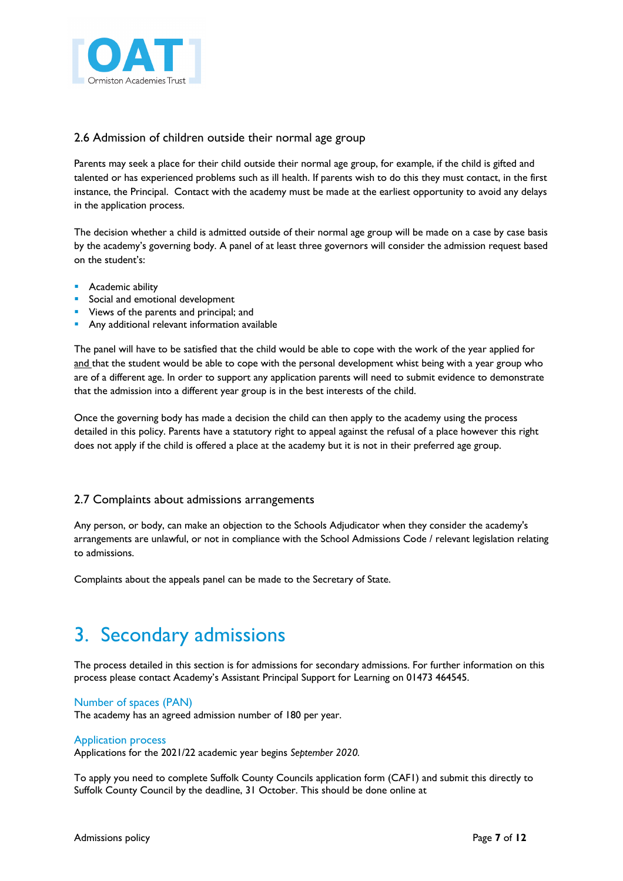

## 2.6 Admission of children outside their normal age group

Parents may seek a place for their child outside their normal age group, for example, if the child is gifted and talented or has experienced problems such as ill health. If parents wish to do this they must contact, in the first instance, the Principal. Contact with the academy must be made at the earliest opportunity to avoid any delays in the application process.

The decision whether a child is admitted outside of their normal age group will be made on a case by case basis by the academy's governing body. A panel of at least three governors will consider the admission request based on the student's:

- Academic ability
- Social and emotional development
- Views of the parents and principal; and
- **•** Any additional relevant information available

The panel will have to be satisfied that the child would be able to cope with the work of the year applied for and that the student would be able to cope with the personal development whist being with a year group who are of a different age. In order to support any application parents will need to submit evidence to demonstrate that the admission into a different year group is in the best interests of the child.

Once the governing body has made a decision the child can then apply to the academy using the process detailed in this policy. Parents have a statutory right to appeal against the refusal of a place however this right does not apply if the child is offered a place at the academy but it is not in their preferred age group.

## 2.7 Complaints about admissions arrangements

Any person, or body, can make an objection to the Schools Adjudicator when they consider the academy's arrangements are unlawful, or not in compliance with the School Admissions Code / relevant legislation relating to admissions.

Complaints about the appeals panel can be made to the Secretary of State.

# 3. Secondary admissions

The process detailed in this section is for admissions for secondary admissions. For further information on this process please contact Academy's Assistant Principal Support for Learning on 01473 464545.

## Number of spaces (PAN)

The academy has an agreed admission number of 180 per year.

## Application process

Applications for the 2021/22 academic year begins *September 2020.*

To apply you need to complete Suffolk County Councils application form (CAF1) and submit this directly to Suffolk County Council by the deadline, 31 October. This should be done online at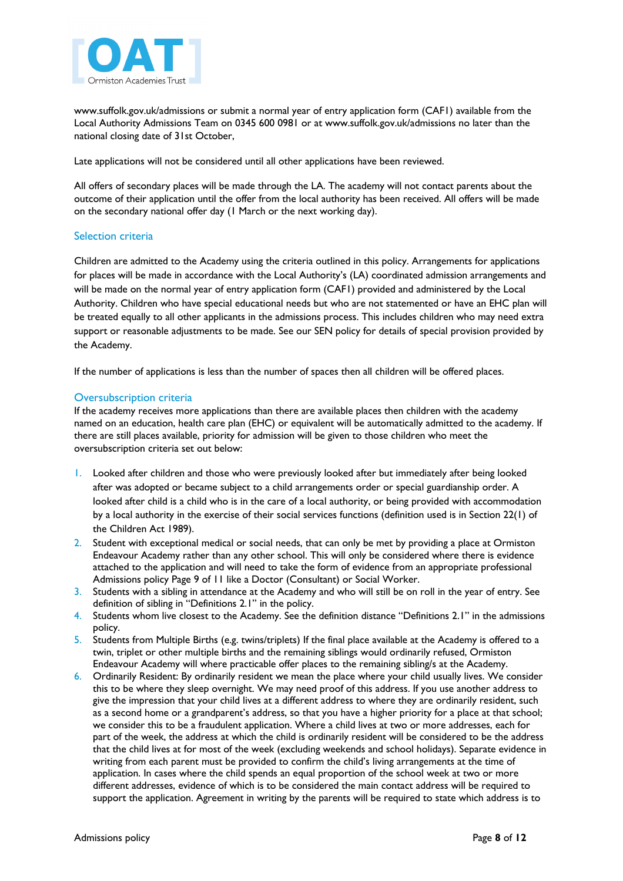

www.suffolk.gov.uk/admissions or submit a normal year of entry application form (CAF1) available from the Local Authority Admissions Team on 0345 600 0981 or at www.suffolk.gov.uk/admissions no later than the national closing date of 31st October,

Late applications will not be considered until all other applications have been reviewed.

All offers of secondary places will be made through the LA. The academy will not contact parents about the outcome of their application until the offer from the local authority has been received. All offers will be made on the secondary national offer day (1 March or the next working day).

## Selection criteria

Children are admitted to the Academy using the criteria outlined in this policy. Arrangements for applications for places will be made in accordance with the Local Authority's (LA) coordinated admission arrangements and will be made on the normal year of entry application form (CAF1) provided and administered by the Local Authority. Children who have special educational needs but who are not statemented or have an EHC plan will be treated equally to all other applicants in the admissions process. This includes children who may need extra support or reasonable adjustments to be made. See our SEN policy for details of special provision provided by the Academy.

If the number of applications is less than the number of spaces then all children will be offered places.

## Oversubscription criteria

If the academy receives more applications than there are available places then children with the academy named on an education, health care plan (EHC) or equivalent will be automatically admitted to the academy. If there are still places available, priority for admission will be given to those children who meet the oversubscription criteria set out below:

- 1. Looked after children and those who were previously looked after but immediately after being looked after was adopted or became subject to a child arrangements order or special guardianship order. A looked after child is a child who is in the care of a local authority, or being provided with accommodation by a local authority in the exercise of their social services functions (definition used is in Section 22(1) of the Children Act 1989).
- 2. Student with exceptional medical or social needs, that can only be met by providing a place at Ormiston Endeavour Academy rather than any other school. This will only be considered where there is evidence attached to the application and will need to take the form of evidence from an appropriate professional Admissions policy Page 9 of 11 like a Doctor (Consultant) or Social Worker.
- 3. Students with a sibling in attendance at the Academy and who will still be on roll in the year of entry. See definition of sibling in "Definitions 2.1" in the policy.
- 4. Students whom live closest to the Academy. See the definition distance "Definitions 2.1" in the admissions policy.
- 5. Students from Multiple Births (e.g. twins/triplets) If the final place available at the Academy is offered to a twin, triplet or other multiple births and the remaining siblings would ordinarily refused, Ormiston Endeavour Academy will where practicable offer places to the remaining sibling/s at the Academy.
- 6. Ordinarily Resident: By ordinarily resident we mean the place where your child usually lives. We consider this to be where they sleep overnight. We may need proof of this address. If you use another address to give the impression that your child lives at a different address to where they are ordinarily resident, such as a second home or a grandparent's address, so that you have a higher priority for a place at that school; we consider this to be a fraudulent application. Where a child lives at two or more addresses, each for part of the week, the address at which the child is ordinarily resident will be considered to be the address that the child lives at for most of the week (excluding weekends and school holidays). Separate evidence in writing from each parent must be provided to confirm the child's living arrangements at the time of application. In cases where the child spends an equal proportion of the school week at two or more different addresses, evidence of which is to be considered the main contact address will be required to support the application. Agreement in writing by the parents will be required to state which address is to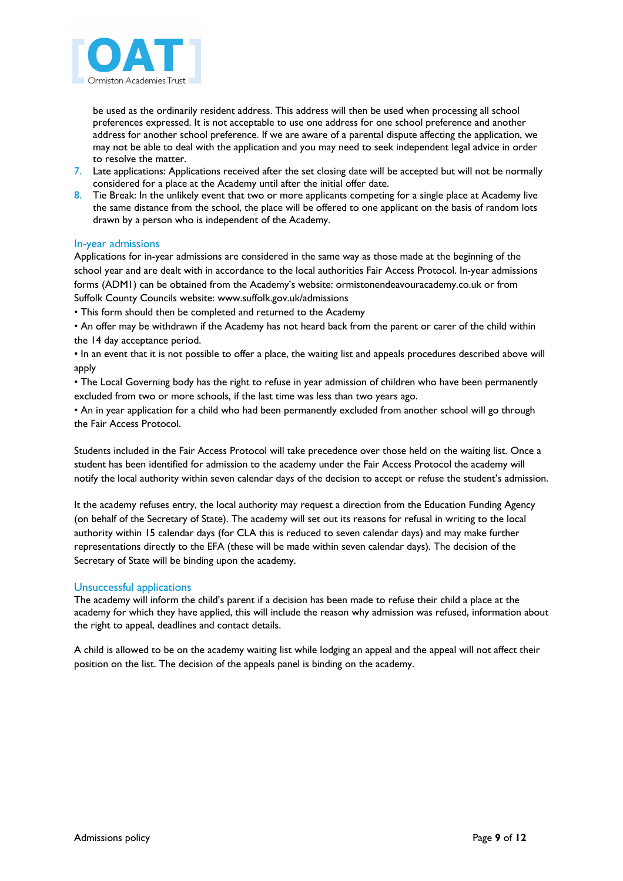

be used as the ordinarily resident address. This address will then be used when processing all school preferences expressed. It is not acceptable to use one address for one school preference and another address for another school preference. If we are aware of a parental dispute affecting the application, we may not be able to deal with the application and you may need to seek independent legal advice in order to resolve the matter.

- 7. Late applications: Applications received after the set closing date will be accepted but will not be normally considered for a place at the Academy until after the initial offer date.
- 8. Tie Break: In the unlikely event that two or more applicants competing for a single place at Academy live the same distance from the school, the place will be offered to one applicant on the basis of random lots drawn by a person who is independent of the Academy.

## In-year admissions

Applications for in-year admissions are considered in the same way as those made at the beginning of the school year and are dealt with in accordance to the local authorities Fair Access Protocol. In-year admissions forms (ADM1) can be obtained from the Academy's website: ormistonendeavouracademy.co.uk or from Suffolk County Councils website: www.suffolk.gov.uk/admissions

• This form should then be completed and returned to the Academy

• An offer may be withdrawn if the Academy has not heard back from the parent or carer of the child within the 14 day acceptance period.

• In an event that it is not possible to offer a place, the waiting list and appeals procedures described above will apply

• The Local Governing body has the right to refuse in year admission of children who have been permanently excluded from two or more schools, if the last time was less than two years ago.

• An in year application for a child who had been permanently excluded from another school will go through the Fair Access Protocol.

Students included in the Fair Access Protocol will take precedence over those held on the waiting list. Once a student has been identified for admission to the academy under the Fair Access Protocol the academy will notify the local authority within seven calendar days of the decision to accept or refuse the student's admission.

It the academy refuses entry, the local authority may request a direction from the Education Funding Agency (on behalf of the Secretary of State). The academy will set out its reasons for refusal in writing to the local authority within 15 calendar days (for CLA this is reduced to seven calendar days) and may make further representations directly to the EFA (these will be made within seven calendar days). The decision of the Secretary of State will be binding upon the academy.

## Unsuccessful applications

The academy will inform the child's parent if a decision has been made to refuse their child a place at the academy for which they have applied, this will include the reason why admission was refused, information about the right to appeal, deadlines and contact details.

A child is allowed to be on the academy waiting list while lodging an appeal and the appeal will not affect their position on the list. The decision of the appeals panel is binding on the academy.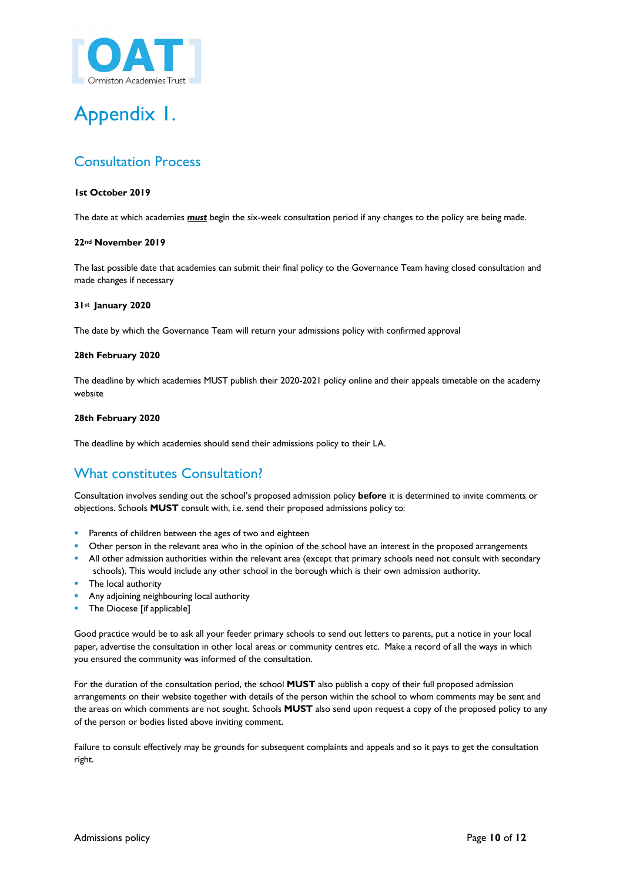

# Appendix 1.

# Consultation Process

### **1st October 2019**

The date at which academies *must* begin the six-week consultation period if any changes to the policy are being made.

#### **22nd November 2019**

The last possible date that academies can submit their final policy to the Governance Team having closed consultation and made changes if necessary

#### **31st January 2020**

The date by which the Governance Team will return your admissions policy with confirmed approval

#### **28th February 2020**

The deadline by which academies MUST publish their 2020-2021 policy online and their appeals timetable on the academy website

#### **28th February 2020**

The deadline by which academies should send their admissions policy to their LA.

# What constitutes Consultation?

Consultation involves sending out the school's proposed admission policy **before** it is determined to invite comments or objections. Schools **MUST** consult with, i.e. send their proposed admissions policy to:

- **•** Parents of children between the ages of two and eighteen
- Other person in the relevant area who in the opinion of the school have an interest in the proposed arrangements
- <sup>■</sup> All other admission authorities within the relevant area (except that primary schools need not consult with secondary schools). This would include any other school in the borough which is their own admission authority.
- **•** The local authority
- § Any adjoining neighbouring local authority
- The Diocese [if applicable]

Good practice would be to ask all your feeder primary schools to send out letters to parents, put a notice in your local paper, advertise the consultation in other local areas or community centres etc. Make a record of all the ways in which you ensured the community was informed of the consultation.

For the duration of the consultation period, the school **MUST** also publish a copy of their full proposed admission arrangements on their website together with details of the person within the school to whom comments may be sent and the areas on which comments are not sought. Schools **MUST** also send upon request a copy of the proposed policy to any of the person or bodies listed above inviting comment.

Failure to consult effectively may be grounds for subsequent complaints and appeals and so it pays to get the consultation right.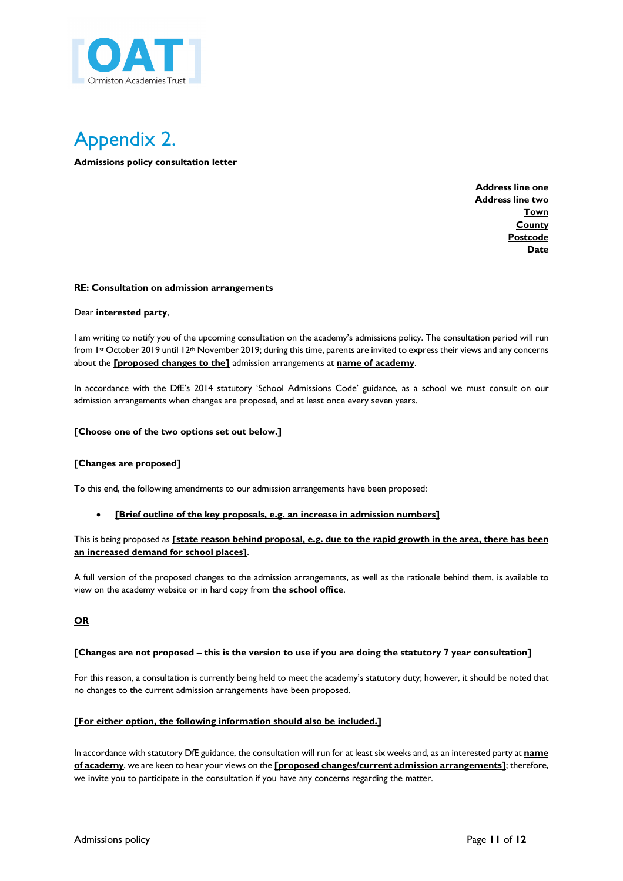



**Admissions policy consultation letter**

**Address line one Address line two Town County Postcode Date**

#### **RE: Consultation on admission arrangements**

#### Dear **interested party**,

I am writing to notify you of the upcoming consultation on the academy's admissions policy. The consultation period will run from 1st October 2019 until 12th November 2019; during this time, parents are invited to express their views and any concerns about the **[proposed changes to the]** admission arrangements at **name of academy**.

In accordance with the DfE's 2014 statutory 'School Admissions Code' guidance, as a school we must consult on our admission arrangements when changes are proposed, and at least once every seven years.

#### **[Choose one of the two options set out below.]**

#### **[Changes are proposed]**

To this end, the following amendments to our admission arrangements have been proposed:

#### **[Brief outline of the key proposals, e.g. an increase in admission numbers]**

### This is being proposed as **[state reason behind proposal, e.g. due to the rapid growth in the area, there has been an increased demand for school places]**.

A full version of the proposed changes to the admission arrangements, as well as the rationale behind them, is available to view on the academy website or in hard copy from **the school office**.

**OR**

#### **[Changes are not proposed – this is the version to use if you are doing the statutory 7 year consultation]**

For this reason, a consultation is currently being held to meet the academy's statutory duty; however, it should be noted that no changes to the current admission arrangements have been proposed.

#### **[For either option, the following information should also be included.]**

In accordance with statutory DfE guidance, the consultation will run for at least six weeks and, as an interested party at **name of academy**, we are keen to hear your views on the **[proposed changes/current admission arrangements]**; therefore, we invite you to participate in the consultation if you have any concerns regarding the matter.